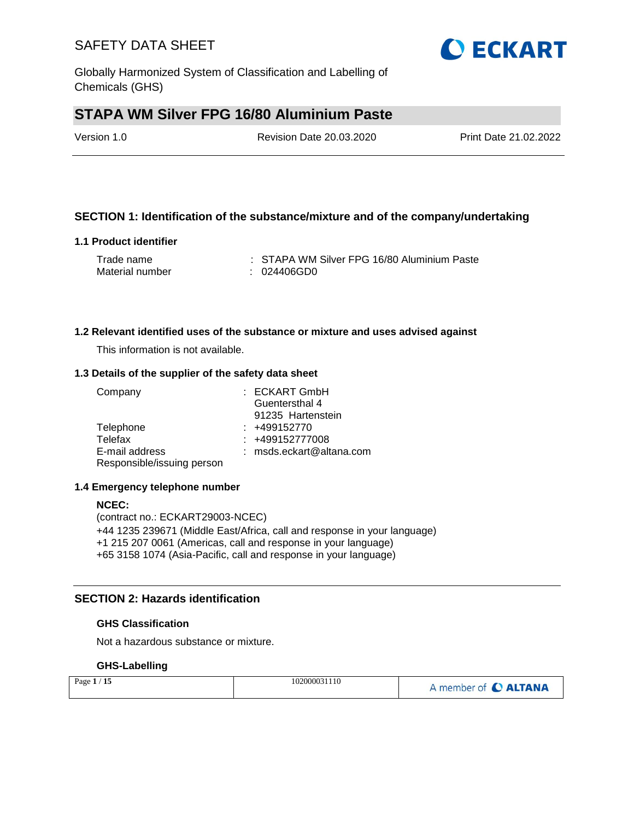Globally Harmonized System of Classification and Labelling of Chemicals (GHS)

# **STAPA WM Silver FPG 16/80 Aluminium Paste**

| Version 1.0 | <b>Revision Date 20.03.2020</b> | Print Date 21.02.2022 |
|-------------|---------------------------------|-----------------------|
|             |                                 |                       |

#### **SECTION 1: Identification of the substance/mixture and of the company/undertaking**

#### **1.1 Product identifier**

| Trade name      | : STAPA WM Silver FPG 16/80 Aluminium Paste |
|-----------------|---------------------------------------------|
| Material number | : 024406GD0                                 |

#### **1.2 Relevant identified uses of the substance or mixture and uses advised against**

This information is not available.

#### **1.3 Details of the supplier of the safety data sheet**

| Company                    | : ECKART GmbH            |
|----------------------------|--------------------------|
|                            | Guentersthal 4           |
|                            | 91235 Hartenstein        |
| Telephone                  | $: +499152770$           |
| Telefax                    | : +499152777008          |
| E-mail address             | : msds.eckart@altana.com |
| Responsible/issuing person |                          |

#### **1.4 Emergency telephone number**

#### **NCEC:**

(contract no.: ECKART29003-NCEC) +44 1235 239671 (Middle East/Africa, call and response in your language) +1 215 207 0061 (Americas, call and response in your language) +65 3158 1074 (Asia-Pacific, call and response in your language)

#### **SECTION 2: Hazards identification**

#### **GHS Classification**

Not a hazardous substance or mixture.

#### **GHS-Labelling**

| Page $1/15$ | 102000031110 | A member of C ALTANA |
|-------------|--------------|----------------------|
|-------------|--------------|----------------------|

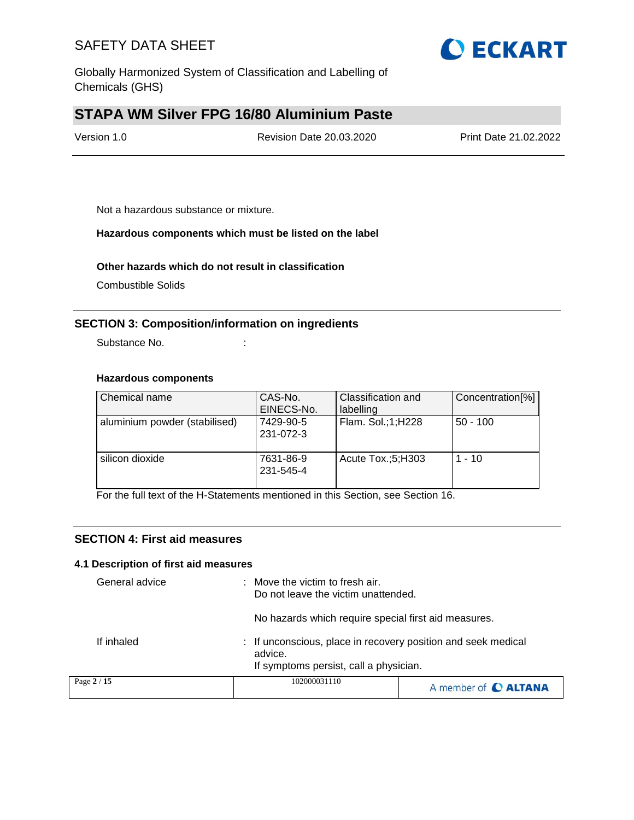

Globally Harmonized System of Classification and Labelling of Chemicals (GHS)

# **STAPA WM Silver FPG 16/80 Aluminium Paste**

| Version 1.0 | <b>Revision Date 20.03.2020</b> | Print Date 21.02.2022 |
|-------------|---------------------------------|-----------------------|
|             |                                 |                       |

Not a hazardous substance or mixture.

#### **Hazardous components which must be listed on the label**

#### **Other hazards which do not result in classification**

Combustible Solids

#### **SECTION 3: Composition/information on ingredients**

Substance No. **:** : :

#### **Hazardous components**

| Chemical name                 | CAS-No.<br>EINECS-No.  | Classification and<br>labelling | Concentration[%] |
|-------------------------------|------------------------|---------------------------------|------------------|
| aluminium powder (stabilised) | 7429-90-5<br>231-072-3 | Flam. Sol.;1;H228               | $50 - 100$       |
| silicon dioxide               | 7631-86-9<br>231-545-4 | Acute Tox.;5;H303               | $1 - 10$         |

For the full text of the H-Statements mentioned in this Section, see Section 16.

#### **SECTION 4: First aid measures**

#### **4.1 Description of first aid measures**

| General advice | : Move the victim to fresh air.<br>Do not leave the victim unattended.<br>No hazards which require special first aid measures. |                      |
|----------------|--------------------------------------------------------------------------------------------------------------------------------|----------------------|
| If inhaled     | : If unconscious, place in recovery position and seek medical<br>advice.<br>If symptoms persist, call a physician.             |                      |
| Page 2 / 15    | 102000031110                                                                                                                   | A member of C ALTANA |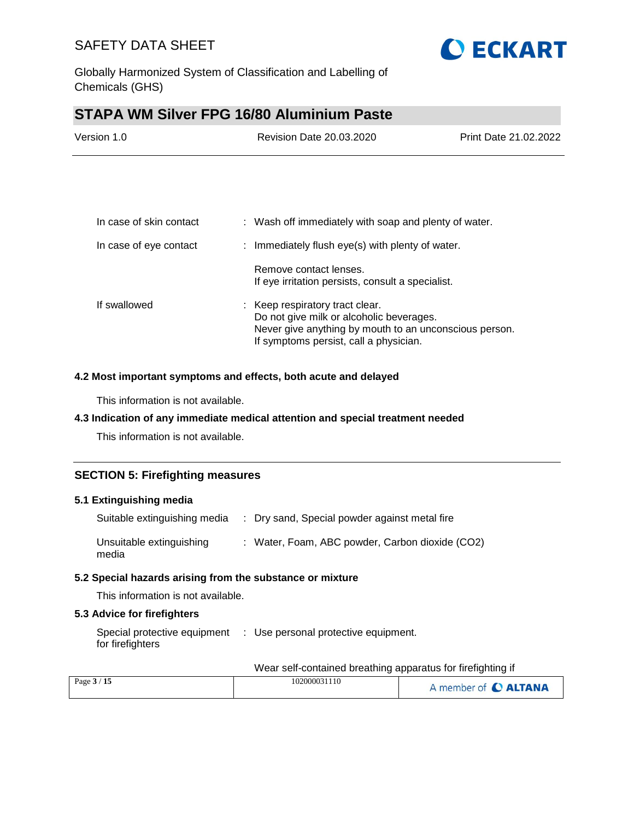

Globally Harmonized System of Classification and Labelling of Chemicals (GHS)

# **STAPA WM Silver FPG 16/80 Aluminium Paste**

| Version 1.0 | <b>Revision Date 20.03.2020</b> | Print Date 21.02.2022 |
|-------------|---------------------------------|-----------------------|
|             |                                 |                       |

| In case of skin contact | : Wash off immediately with soap and plenty of water.                                                                                                                           |
|-------------------------|---------------------------------------------------------------------------------------------------------------------------------------------------------------------------------|
| In case of eye contact  | : Immediately flush eye(s) with plenty of water.                                                                                                                                |
|                         | Remove contact lenses.<br>If eye irritation persists, consult a specialist.                                                                                                     |
| If swallowed            | : Keep respiratory tract clear.<br>Do not give milk or alcoholic beverages.<br>Never give anything by mouth to an unconscious person.<br>If symptoms persist, call a physician. |

#### **4.2 Most important symptoms and effects, both acute and delayed**

This information is not available.

#### **4.3 Indication of any immediate medical attention and special treatment needed**

This information is not available.

#### **SECTION 5: Firefighting measures**

#### **5.1 Extinguishing media**

| Suitable extinguishing media      | : Dry sand, Special powder against metal fire   |
|-----------------------------------|-------------------------------------------------|
| Unsuitable extinguishing<br>media | : Water, Foam, ABC powder, Carbon dioxide (CO2) |

#### **5.2 Special hazards arising from the substance or mixture**

This information is not available.

#### **5.3 Advice for firefighters**

Special protective equipment : Use personal protective equipment. for firefighters

#### Wear self-contained breathing apparatus for firefighting if

| Page $3/15$ | 102000031110 | A member of C ALTANA |
|-------------|--------------|----------------------|
|             |              |                      |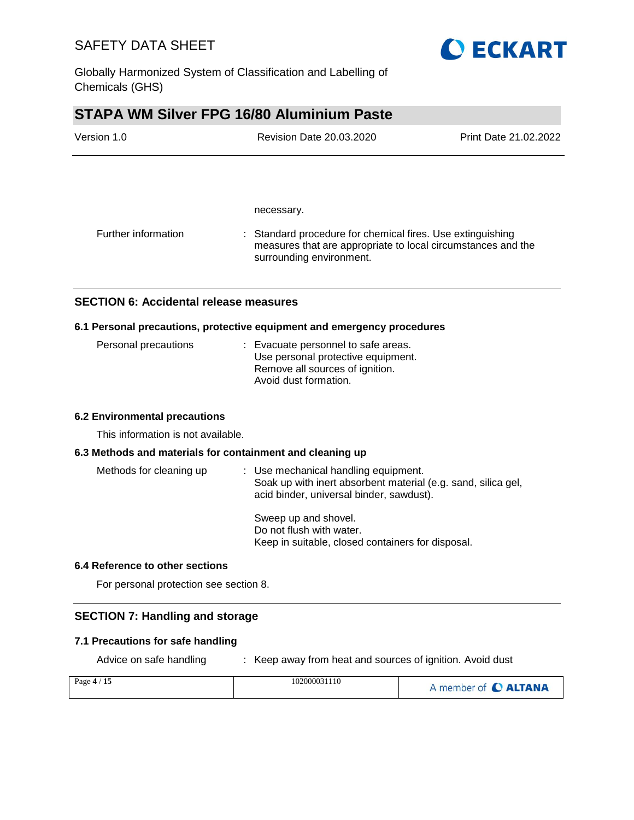

Globally Harmonized System of Classification and Labelling of Chemicals (GHS)

# **STAPA WM Silver FPG 16/80 Aluminium Paste**

| Version 1.0         | <b>Revision Date 20.03.2020</b>                                                                                                                        | Print Date 21.02.2022 |
|---------------------|--------------------------------------------------------------------------------------------------------------------------------------------------------|-----------------------|
|                     |                                                                                                                                                        |                       |
|                     | necessary.                                                                                                                                             |                       |
| Further information | : Standard procedure for chemical fires. Use extinguishing<br>measures that are appropriate to local circumstances and the<br>surrounding environment. |                       |

### **SECTION 6: Accidental release measures**

#### **6.1 Personal precautions, protective equipment and emergency procedures**

| Personal precautions | : Evacuate personnel to safe areas.<br>Use personal protective equipment. |
|----------------------|---------------------------------------------------------------------------|
|                      | Remove all sources of ignition.<br>Avoid dust formation.                  |

#### **6.2 Environmental precautions**

This information is not available.

#### **6.3 Methods and materials for containment and cleaning up**

| Methods for cleaning up | : Use mechanical handling equipment.<br>Soak up with inert absorbent material (e.g. sand, silica gel,<br>acid binder, universal binder, sawdust). |
|-------------------------|---------------------------------------------------------------------------------------------------------------------------------------------------|
|                         | Sweep up and shovel.<br>Do not flush with water.<br>Keep in suitable, closed containers for disposal.                                             |

#### **6.4 Reference to other sections**

For personal protection see section 8.

#### **SECTION 7: Handling and storage**

#### **7.1 Precautions for safe handling**

Advice on safe handling : Keep away from heat and sources of ignition. Avoid dust

| Page $4/15$ | 102000031110 | A member of C ALTANA |
|-------------|--------------|----------------------|
|             |              |                      |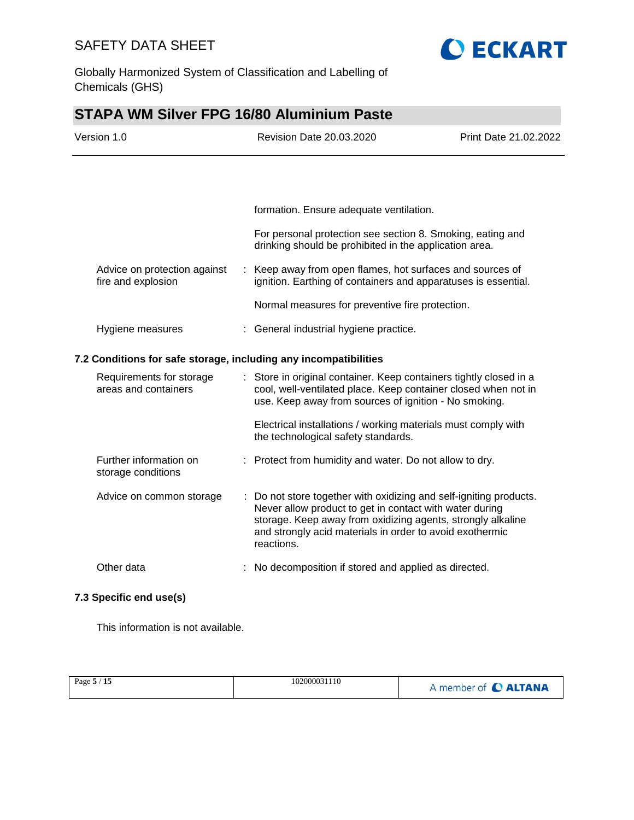

Globally Harmonized System of Classification and Labelling of Chemicals (GHS)

# **STAPA WM Silver FPG 16/80 Aluminium Paste**

| Version 1.0                                                      |  | Revision Date 20.03.2020                                                                                                                                                                                                                                               | Print Date 21.02.2022 |
|------------------------------------------------------------------|--|------------------------------------------------------------------------------------------------------------------------------------------------------------------------------------------------------------------------------------------------------------------------|-----------------------|
|                                                                  |  |                                                                                                                                                                                                                                                                        |                       |
|                                                                  |  | formation. Ensure adequate ventilation.                                                                                                                                                                                                                                |                       |
|                                                                  |  | For personal protection see section 8. Smoking, eating and<br>drinking should be prohibited in the application area.                                                                                                                                                   |                       |
| Advice on protection against<br>fire and explosion               |  | : Keep away from open flames, hot surfaces and sources of<br>ignition. Earthing of containers and apparatuses is essential.                                                                                                                                            |                       |
|                                                                  |  | Normal measures for preventive fire protection.                                                                                                                                                                                                                        |                       |
| Hygiene measures                                                 |  | : General industrial hygiene practice.                                                                                                                                                                                                                                 |                       |
| 7.2 Conditions for safe storage, including any incompatibilities |  |                                                                                                                                                                                                                                                                        |                       |
| Requirements for storage<br>areas and containers                 |  | Store in original container. Keep containers tightly closed in a<br>÷.<br>cool, well-ventilated place. Keep container closed when not in<br>use. Keep away from sources of ignition - No smoking.                                                                      |                       |
|                                                                  |  | Electrical installations / working materials must comply with<br>the technological safety standards.                                                                                                                                                                   |                       |
| Further information on<br>storage conditions                     |  | : Protect from humidity and water. Do not allow to dry.                                                                                                                                                                                                                |                       |
| Advice on common storage                                         |  | : Do not store together with oxidizing and self-igniting products.<br>Never allow product to get in contact with water during<br>storage. Keep away from oxidizing agents, strongly alkaline<br>and strongly acid materials in order to avoid exothermic<br>reactions. |                       |
| Other data                                                       |  | No decomposition if stored and applied as directed.                                                                                                                                                                                                                    |                       |

#### **7.3 Specific end use(s)**

This information is not available.

| Page 5 / 15 | 102000031110 | A member of C ALTANA |
|-------------|--------------|----------------------|
|             |              |                      |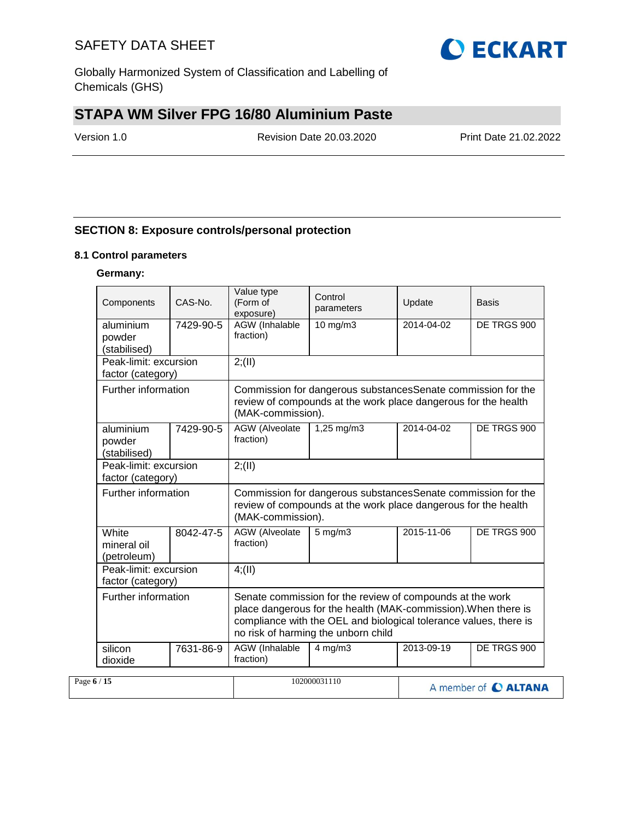Globally Harmonized System of Classification and Labelling of Chemicals (GHS)

# **STAPA WM Silver FPG 16/80 Aluminium Paste**

Version 1.0 Revision Date 20.03.2020 Print Date 21.02.2022

### **SECTION 8: Exposure controls/personal protection**

#### **8.1 Control parameters**

#### **Germany:**

| Components                                 | CAS-No.                                    | Value type<br>(Form of<br>exposure)                                                                                                                 | Control<br>parameters                                                                                                                                                                                                                   | Update     | Basis                       |  |  |  |
|--------------------------------------------|--------------------------------------------|-----------------------------------------------------------------------------------------------------------------------------------------------------|-----------------------------------------------------------------------------------------------------------------------------------------------------------------------------------------------------------------------------------------|------------|-----------------------------|--|--|--|
| aluminium<br>powder<br>(stabilised)        | 7429-90-5                                  | <b>AGW</b> (Inhalable<br>fraction)                                                                                                                  | $10$ mg/m $3$                                                                                                                                                                                                                           | 2014-04-02 | DE TRGS 900                 |  |  |  |
|                                            | Peak-limit: excursion<br>factor (category) |                                                                                                                                                     | 2; (II)                                                                                                                                                                                                                                 |            |                             |  |  |  |
| Further information                        |                                            | Commission for dangerous substancesSenate commission for the<br>review of compounds at the work place dangerous for the health<br>(MAK-commission). |                                                                                                                                                                                                                                         |            |                             |  |  |  |
| aluminium<br>powder<br>(stabilised)        | 7429-90-5                                  | <b>AGW</b> (Alveolate<br>fraction)                                                                                                                  | 1,25 mg/m3                                                                                                                                                                                                                              | 2014-04-02 | DE TRGS 900                 |  |  |  |
| Peak-limit: excursion<br>factor (category) |                                            | 2; (II)                                                                                                                                             |                                                                                                                                                                                                                                         |            |                             |  |  |  |
| Further information                        |                                            | (MAK-commission).                                                                                                                                   | Commission for dangerous substancesSenate commission for the<br>review of compounds at the work place dangerous for the health                                                                                                          |            |                             |  |  |  |
| White<br>mineral oil<br>(petroleum)        | 8042-47-5                                  | AGW (Alveolate<br>fraction)                                                                                                                         | $5$ mg/m $3$                                                                                                                                                                                                                            | 2015-11-06 | DE TRGS 900                 |  |  |  |
| Peak-limit: excursion<br>factor (category) |                                            | 4(11)                                                                                                                                               |                                                                                                                                                                                                                                         |            |                             |  |  |  |
| Further information                        |                                            |                                                                                                                                                     | Senate commission for the review of compounds at the work<br>place dangerous for the health (MAK-commission). When there is<br>compliance with the OEL and biological tolerance values, there is<br>no risk of harming the unborn child |            |                             |  |  |  |
| silicon<br>dioxide                         | 7631-86-9                                  | AGW (Inhalable<br>fraction)                                                                                                                         | $4$ mg/m $3$                                                                                                                                                                                                                            | 2013-09-19 | DE TRGS 900                 |  |  |  |
| Page $6/15$                                |                                            |                                                                                                                                                     | 102000031110                                                                                                                                                                                                                            |            | A member of <b>C ALTANA</b> |  |  |  |

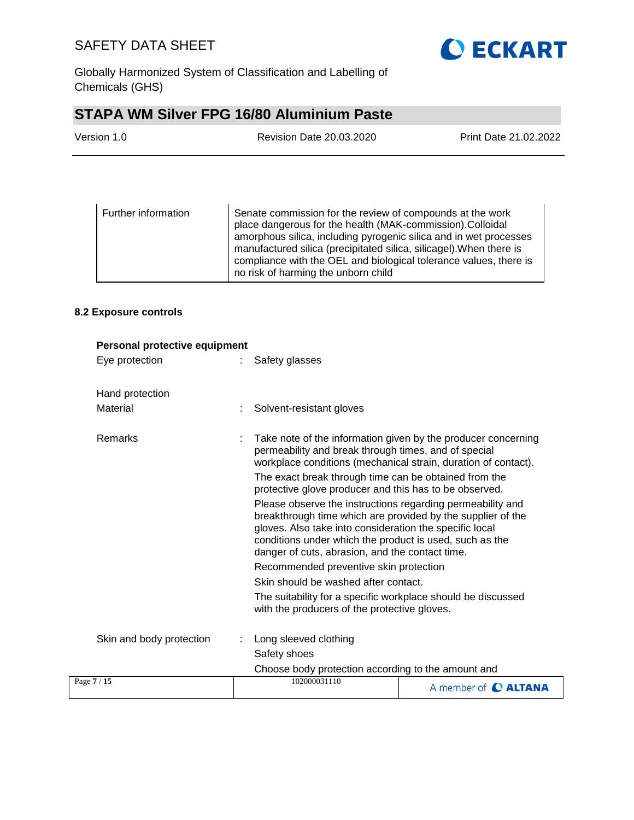

Globally Harmonized System of Classification and Labelling of Chemicals (GHS)

# **STAPA WM Silver FPG 16/80 Aluminium Paste**

| Version 1.0 | <b>Revision Date 20.03.2020</b> | Print Date 21.02.2022 |
|-------------|---------------------------------|-----------------------|
|             |                                 |                       |

| Further information | Senate commission for the review of compounds at the work<br>place dangerous for the health (MAK-commission). Colloidal<br>amorphous silica, including pyrogenic silica and in wet processes<br>manufactured silica (precipitated silica, silicagel). When there is<br>compliance with the OEL and biological tolerance values, there is<br>no risk of harming the unborn child |
|---------------------|---------------------------------------------------------------------------------------------------------------------------------------------------------------------------------------------------------------------------------------------------------------------------------------------------------------------------------------------------------------------------------|
|                     |                                                                                                                                                                                                                                                                                                                                                                                 |

#### **8.2 Exposure controls**

| Personal protective equipment |                                                                                                                                                                                                                                                                                                    |                      |
|-------------------------------|----------------------------------------------------------------------------------------------------------------------------------------------------------------------------------------------------------------------------------------------------------------------------------------------------|----------------------|
| Eye protection                | Safety glasses                                                                                                                                                                                                                                                                                     |                      |
| Hand protection               |                                                                                                                                                                                                                                                                                                    |                      |
| Material                      | Solvent-resistant gloves                                                                                                                                                                                                                                                                           |                      |
| Remarks                       | Take note of the information given by the producer concerning<br>permeability and break through times, and of special<br>workplace conditions (mechanical strain, duration of contact).                                                                                                            |                      |
|                               | The exact break through time can be obtained from the<br>protective glove producer and this has to be observed.                                                                                                                                                                                    |                      |
|                               | Please observe the instructions regarding permeability and<br>breakthrough time which are provided by the supplier of the<br>gloves. Also take into consideration the specific local<br>conditions under which the product is used, such as the<br>danger of cuts, abrasion, and the contact time. |                      |
|                               | Recommended preventive skin protection                                                                                                                                                                                                                                                             |                      |
|                               | Skin should be washed after contact.                                                                                                                                                                                                                                                               |                      |
|                               | The suitability for a specific workplace should be discussed<br>with the producers of the protective gloves.                                                                                                                                                                                       |                      |
| Skin and body protection      | Long sleeved clothing                                                                                                                                                                                                                                                                              |                      |
|                               | Safety shoes                                                                                                                                                                                                                                                                                       |                      |
|                               | Choose body protection according to the amount and                                                                                                                                                                                                                                                 |                      |
| Page 7 / 15                   | 102000031110                                                                                                                                                                                                                                                                                       | A member of C ALTANA |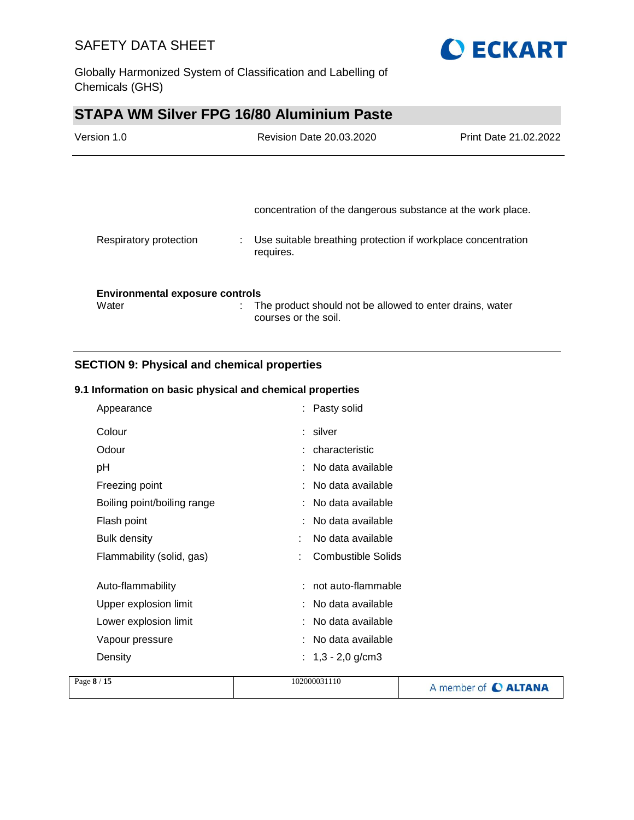



# **STAPA WM Silver FPG 16/80 Aluminium Paste**

| Version 1.0                            |  | Revision Date 20.03.2020                                                         | Print Date 21.02.2022 |
|----------------------------------------|--|----------------------------------------------------------------------------------|-----------------------|
|                                        |  |                                                                                  |                       |
|                                        |  | concentration of the dangerous substance at the work place.                      |                       |
| Respiratory protection                 |  | Use suitable breathing protection if workplace concentration<br>requires.        |                       |
| <b>Environmental exposure controls</b> |  |                                                                                  |                       |
| Water                                  |  | The product should not be allowed to enter drains, water<br>courses or the soil. |                       |

### **SECTION 9: Physical and chemical properties**

#### **9.1 Information on basic physical and chemical properties**

| Appearance                  | : Pasty solid             |
|-----------------------------|---------------------------|
| Colour                      | : silver                  |
| Odour                       | : characteristic          |
| pH                          | : No data available       |
| Freezing point              | : No data available       |
| Boiling point/boiling range | : No data available       |
| Flash point                 | No data available         |
| <b>Bulk density</b>         | No data available         |
| Flammability (solid, gas)   | <b>Combustible Solids</b> |
|                             |                           |
| Auto-flammability           | : not auto-flammable      |
| Upper explosion limit       | : No data available       |
| Lower explosion limit       | : No data available       |
| Vapour pressure             | : No data available       |
| Density                     | : $1,3 - 2,0$ g/cm3       |
|                             |                           |

| Page 8 / 15 | 102000031110 | A member of C ALTANA |
|-------------|--------------|----------------------|
|             |              |                      |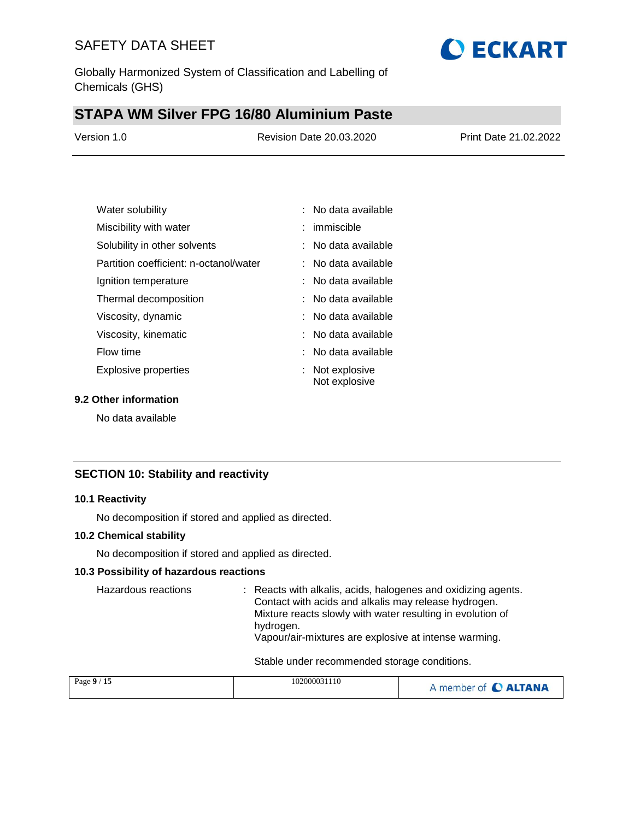Globally Harmonized System of Classification and Labelling of Chemicals (GHS)

## **STAPA WM Silver FPG 16/80 Aluminium Paste**

| Version 1.0 | <b>Revision Date 20.03.2020</b> | Print Date 21.02.2022 |
|-------------|---------------------------------|-----------------------|
|             |                                 |                       |

**O ECKART** 

| Water solubility                       | $:$ No data available            |
|----------------------------------------|----------------------------------|
| Miscibility with water                 | $:$ immiscible                   |
| Solubility in other solvents           | : No data available              |
| Partition coefficient: n-octanol/water | : No data available              |
| Ignition temperature                   | : No data available              |
| Thermal decomposition                  | : No data available              |
| Viscosity, dynamic                     | : No data available              |
| Viscosity, kinematic                   | $:$ No data available            |
| Flow time                              | : No data available              |
| Explosive properties                   | : Not explosive<br>Not explosive |

#### **9.2 Other information**

No data available

#### **SECTION 10: Stability and reactivity**

#### **10.1 Reactivity**

No decomposition if stored and applied as directed.

#### **10.2 Chemical stability**

No decomposition if stored and applied as directed.

#### **10.3 Possibility of hazardous reactions**

Hazardous reactions : Reacts with alkalis, acids, halogenes and oxidizing agents. Contact with acids and alkalis may release hydrogen. Mixture reacts slowly with water resulting in evolution of hydrogen. Vapour/air-mixtures are explosive at intense warming.

Stable under recommended storage conditions.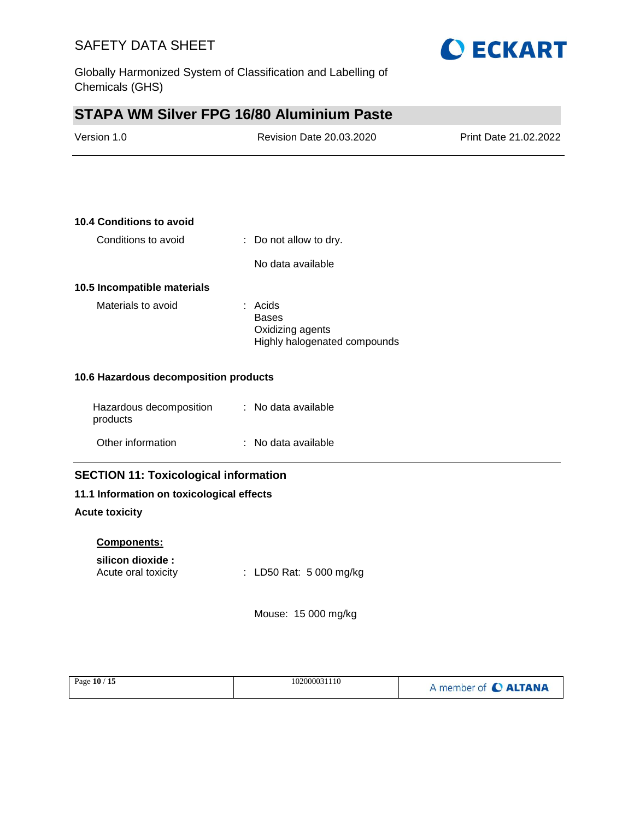**10.4 Conditions to avoid**



# **STAPA WM Silver FPG 16/80 Aluminium Paste**

| Version 1.0 | Revision Date 20.03.2020 | Print Date 21.02.2022 |
|-------------|--------------------------|-----------------------|
|             |                          |                       |

| Conditions to avoid         | : Do not allow to dry.                                                      |  |  |
|-----------------------------|-----------------------------------------------------------------------------|--|--|
|                             | No data available                                                           |  |  |
| 10.5 Incompatible materials |                                                                             |  |  |
| Materials to avoid          | : Acids<br><b>Bases</b><br>Oxidizing agents<br>Highly halogenated compounds |  |  |

#### **10.6 Hazardous decomposition products**

| Hazardous decomposition<br>products | : No data available |
|-------------------------------------|---------------------|
| Other information                   | : No data available |

### **SECTION 11: Toxicological information**

#### **11.1 Information on toxicological effects**

#### **Acute toxicity**

#### **Components:**

#### **silicon dioxide :**

Acute oral toxicity : LD50 Rat: 5 000 mg/kg

Mouse: 15 000 mg/kg

| Page 10 / 15 | 102000031110 | A member of C ALTANA |
|--------------|--------------|----------------------|
|--------------|--------------|----------------------|

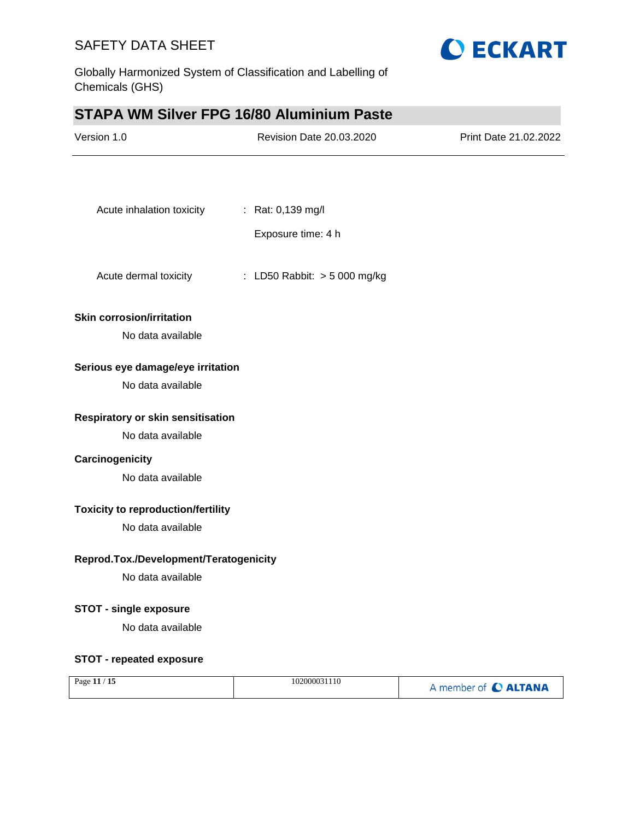



## **STAPA WM Silver FPG 16/80 Aluminium Paste**

| Version 1.0                                            | Revision Date 20.03.2020     | Print Date 21.02.2022 |
|--------------------------------------------------------|------------------------------|-----------------------|
|                                                        |                              |                       |
| Acute inhalation toxicity                              | : Rat: 0,139 mg/l            |                       |
|                                                        | Exposure time: 4 h           |                       |
| Acute dermal toxicity                                  | : LD50 Rabbit: > 5 000 mg/kg |                       |
| <b>Skin corrosion/irritation</b>                       |                              |                       |
| No data available                                      |                              |                       |
| Serious eye damage/eye irritation<br>No data available |                              |                       |
| Respiratory or skin sensitisation                      |                              |                       |
| No data available                                      |                              |                       |
| Carcinogenicity<br>No data available                   |                              |                       |
| <b>Toxicity to reproduction/fertility</b>              |                              |                       |
| No data available                                      |                              |                       |
| Reprod.Tox./Development/Teratogenicity                 |                              |                       |
| No data available                                      |                              |                       |
| <b>STOT - single exposure</b>                          |                              |                       |
| No data available                                      |                              |                       |
| <b>STOT - repeated exposure</b>                        |                              |                       |
| Page 11 / 15                                           | 102000031110                 | A member of C ALTANA  |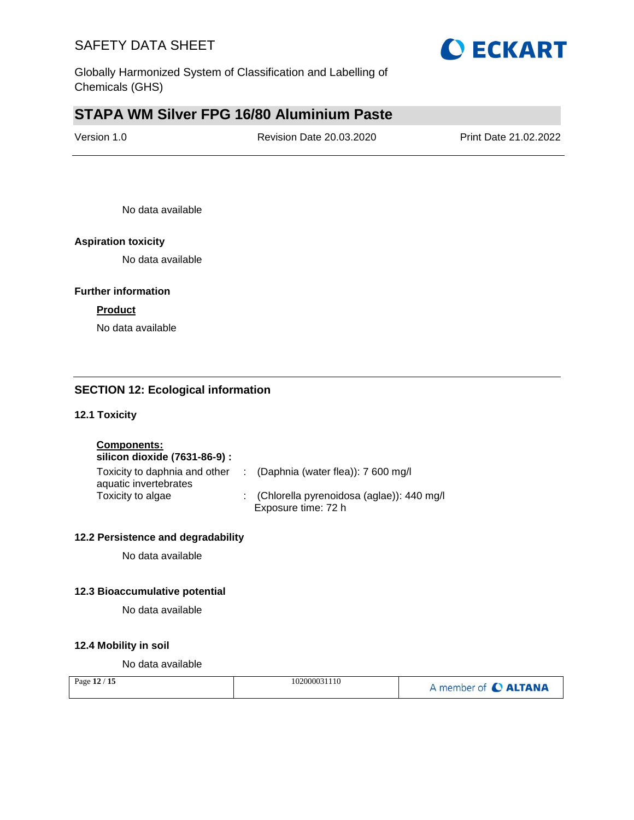

Globally Harmonized System of Classification and Labelling of Chemicals (GHS)

# **STAPA WM Silver FPG 16/80 Aluminium Paste**

| Version 1.0 | <b>Revision Date 20.03.2020</b> | Print Date 21.02.2022 |
|-------------|---------------------------------|-----------------------|
|             |                                 |                       |

No data available

#### **Aspiration toxicity**

No data available

#### **Further information**

#### **Product**

No data available

#### **SECTION 12: Ecological information**

#### **12.1 Toxicity**

**Components:**

| silicon dioxide (7631-86-9) :                          |                                                                    |
|--------------------------------------------------------|--------------------------------------------------------------------|
| Toxicity to daphnia and other<br>aquatic invertebrates | : (Daphnia (water flea)): $7600 \text{ mg/l}$                      |
| Toxicity to algae                                      | : (Chlorella pyrenoidosa (aglae)): 440 mg/l<br>Exposure time: 72 h |

#### **12.2 Persistence and degradability**

No data available

#### **12.3 Bioaccumulative potential**

No data available

#### **12.4 Mobility in soil**

No data available

| Page 12 / 15 | 102000031110 | A member of C ALTANA |
|--------------|--------------|----------------------|
|--------------|--------------|----------------------|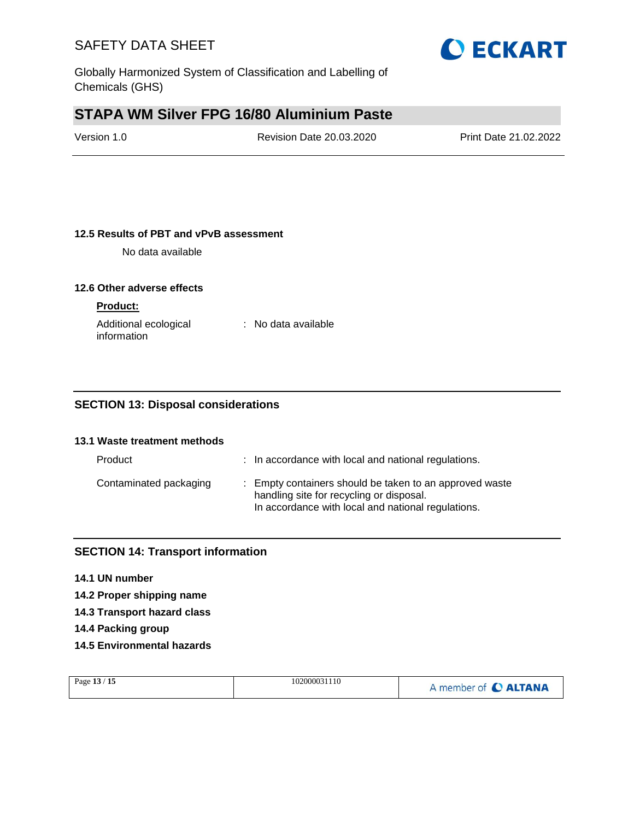

# **STAPA WM Silver FPG 16/80 Aluminium Paste**

| Version 1.0 | Revision Date 20.03.2020 | Print Date 21.02.2022 |
|-------------|--------------------------|-----------------------|
|             |                          |                       |

#### **12.5 Results of PBT and vPvB assessment**

No data available

#### **12.6 Other adverse effects**

#### **Product:**

| Additional ecological | : No data available |
|-----------------------|---------------------|
| information           |                     |

#### **SECTION 13: Disposal considerations**

### **13.1 Waste treatment methods**

| Product                | : In accordance with local and national regulations.                                                                                                      |
|------------------------|-----------------------------------------------------------------------------------------------------------------------------------------------------------|
| Contaminated packaging | : Empty containers should be taken to an approved waste<br>handling site for recycling or disposal.<br>In accordance with local and national regulations. |

#### **SECTION 14: Transport information**

#### **14.1 UN number**

**14.2 Proper shipping name**

- **14.3 Transport hazard class**
- **14.4 Packing group**
- **14.5 Environmental hazards**

| Page 13 / 15<br>102000031110 | A member of C ALTANA |
|------------------------------|----------------------|
|------------------------------|----------------------|

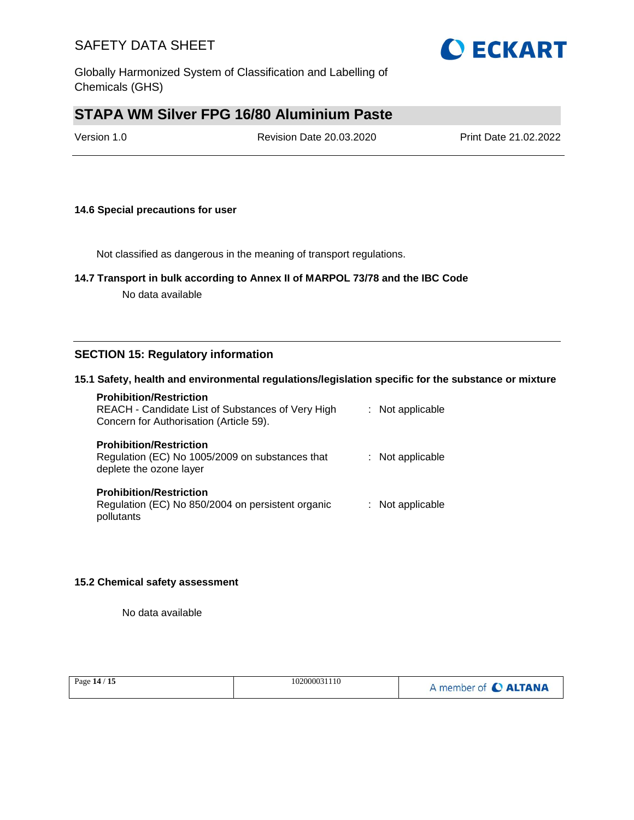Globally Harmonized System of Classification and Labelling of Chemicals (GHS)

# **STAPA WM Silver FPG 16/80 Aluminium Paste**

| Version 1.0 | Revision Date 20.03.2020 | Print Date 21.02.2022 |
|-------------|--------------------------|-----------------------|
|             |                          |                       |

#### **14.6 Special precautions for user**

Not classified as dangerous in the meaning of transport regulations.

#### **14.7 Transport in bulk according to Annex II of MARPOL 73/78 and the IBC Code**

No data available

#### **SECTION 15: Regulatory information**

#### **15.1 Safety, health and environmental regulations/legislation specific for the substance or mixture**

| <b>Prohibition/Restriction</b><br>REACH - Candidate List of Substances of Very High<br>Concern for Authorisation (Article 59). | : Not applicable |
|--------------------------------------------------------------------------------------------------------------------------------|------------------|
| <b>Prohibition/Restriction</b><br>Regulation (EC) No 1005/2009 on substances that<br>deplete the ozone layer                   | : Not applicable |
| <b>Prohibition/Restriction</b><br>Regulation (EC) No 850/2004 on persistent organic<br>pollutants                              | : Not applicable |

#### **15.2 Chemical safety assessment**

No data available